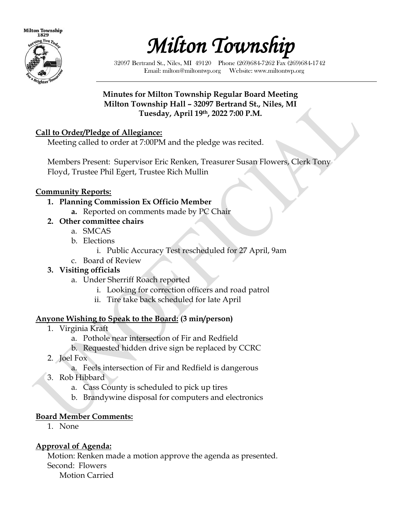



32097 Bertrand St., Niles, MI 49120 Phone (269)684-7262 Fax (269)684-1742 Email: milton@miltontwp.org Website: www.miltontwp.org

#### **Minutes for Milton Township Regular Board Meeting Milton Township Hall – 32097 Bertrand St., Niles, MI Tuesday, April 19th, 2022 7:00 P.M.**

#### **Call to Order/Pledge of Allegiance:**

Meeting called to order at 7:00PM and the pledge was recited.

Members Present: Supervisor Eric Renken, Treasurer Susan Flowers, Clerk Tony Floyd, Trustee Phil Egert, Trustee Rich Mullin

#### **Community Reports:**

- **1. Planning Commission Ex Officio Member**
	- **a.** Reported on comments made by PC Chair
- **2. Other committee chairs**
	- a. SMCAS
	- b. Elections
		- i. Public Accuracy Test rescheduled for 27 April, 9am
	- c. Board of Review

### **3. Visiting officials**

- a. Under Sherriff Roach reported
	- i. Looking for correction officers and road patrol
	- ii. Tire take back scheduled for late April

### **Anyone Wishing to Speak to the Board: (3 min/person)**

- 1. Virginia Kraft
	- a. Pothole near intersection of Fir and Redfield
	- b. Requested hidden drive sign be replaced by CCRC
- 2. Joel Fox
	- a. Feels intersection of Fir and Redfield is dangerous
- 3. Rob Hibbard
	- a. Cass County is scheduled to pick up tires
	- b. Brandywine disposal for computers and electronics

### **Board Member Comments:**

1. None

# **Approval of Agenda:**

Motion: Renken made a motion approve the agenda as presented. Second: Flowers Motion Carried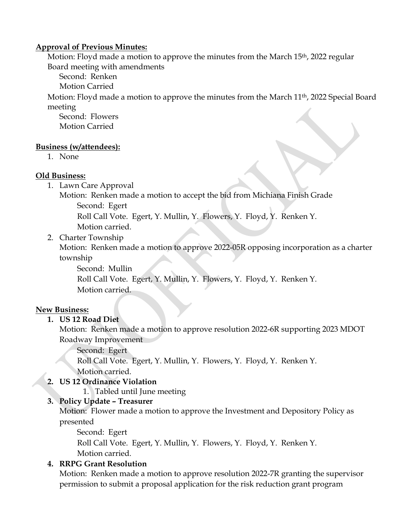#### **Approval of Previous Minutes:**

Motion: Floyd made a motion to approve the minutes from the March 15<sup>th</sup>, 2022 regular Board meeting with amendments

Second: Renken

Motion Carried

Motion: Floyd made a motion to approve the minutes from the March 11th, 2022 Special Board meeting

Second: Flowers Motion Carried

#### **Business (w/attendees):**

1. None

#### **Old Business:**

1. Lawn Care Approval

Motion: Renken made a motion to accept the bid from Michiana Finish Grade

Second: Egert

Roll Call Vote. Egert, Y. Mullin, Y. Flowers, Y. Floyd, Y. Renken Y.

- Motion carried.
- 2. Charter Township

Motion: Renken made a motion to approve 2022-05R opposing incorporation as a charter township

Second: Mullin

Roll Call Vote. Egert, Y. Mullin, Y. Flowers, Y. Floyd, Y. Renken Y. Motion carried.

### **New Business:**

### **1. US 12 Road Diet**

Motion: Renken made a motion to approve resolution 2022-6R supporting 2023 MDOT Roadway Improvement

Second: Egert

Roll Call Vote. Egert, Y. Mullin, Y. Flowers, Y. Floyd, Y. Renken Y. Motion carried.

### **2. US 12 Ordinance Violation**

1. Tabled until June meeting

### **3. Policy Update – Treasurer**

Motion: Flower made a motion to approve the Investment and Depository Policy as presented

Second: Egert

Roll Call Vote. Egert, Y. Mullin, Y. Flowers, Y. Floyd, Y. Renken Y. Motion carried.

### **4. RRPG Grant Resolution**

Motion: Renken made a motion to approve resolution 2022-7R granting the supervisor permission to submit a proposal application for the risk reduction grant program